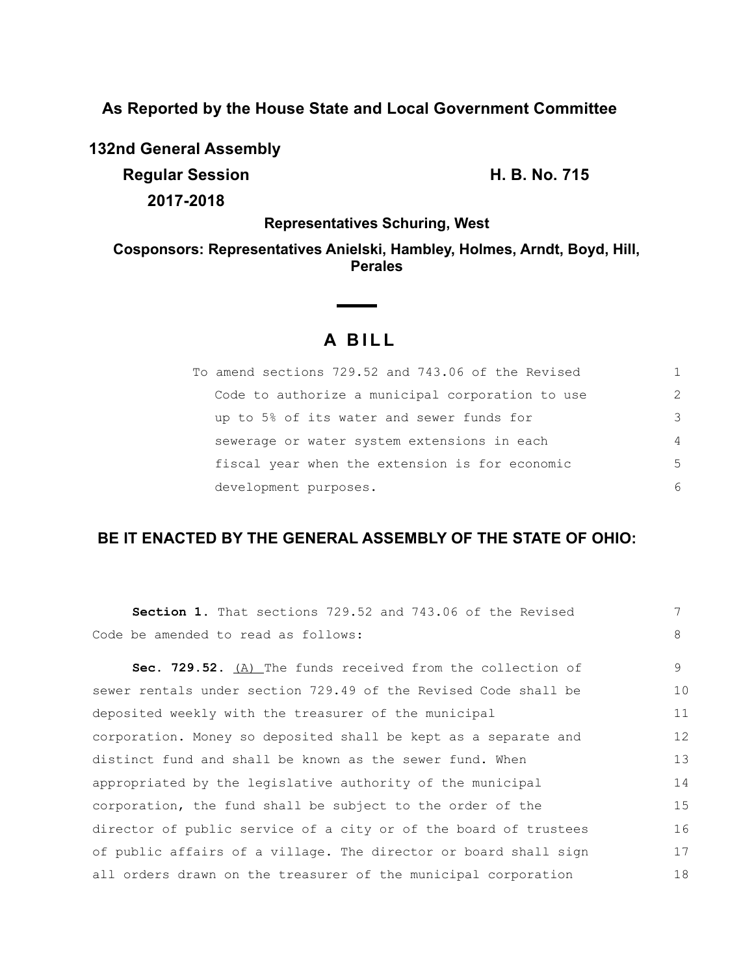**As Reported by the House State and Local Government Committee**

**132nd General Assembly**

**Regular Session H. B. No. 715 2017-2018**

**Representatives Schuring, West**

**Cosponsors: Representatives Anielski, Hambley, Holmes, Arndt, Boyd, Hill, Perales**

# **A B I L L**

**Contract Contract Contract** 

| To amend sections 729.52 and 743.06 of the Revised |                |
|----------------------------------------------------|----------------|
| Code to authorize a municipal corporation to use   | $\mathcal{L}$  |
| up to 5% of its water and sewer funds for          | 3              |
| sewerage or water system extensions in each        | $\overline{4}$ |
| fiscal year when the extension is for economic     | 5              |
| development purposes.                              | 6              |

## **BE IT ENACTED BY THE GENERAL ASSEMBLY OF THE STATE OF OHIO:**

| <b>Section 1.</b> That sections 729.52 and 743.06 of the Revised | 7  |
|------------------------------------------------------------------|----|
| Code be amended to read as follows:                              | 8  |
| Sec. 729.52. (A) The funds received from the collection of       | 9  |
| sewer rentals under section 729.49 of the Revised Code shall be  | 10 |
| deposited weekly with the treasurer of the municipal             | 11 |
| corporation. Money so deposited shall be kept as a separate and  | 12 |
| distinct fund and shall be known as the sewer fund. When         | 13 |
| appropriated by the legislative authority of the municipal       | 14 |
| corporation, the fund shall be subject to the order of the       | 15 |
| director of public service of a city or of the board of trustees | 16 |
| of public affairs of a village. The director or board shall sign | 17 |
| all orders drawn on the treasurer of the municipal corporation   | 18 |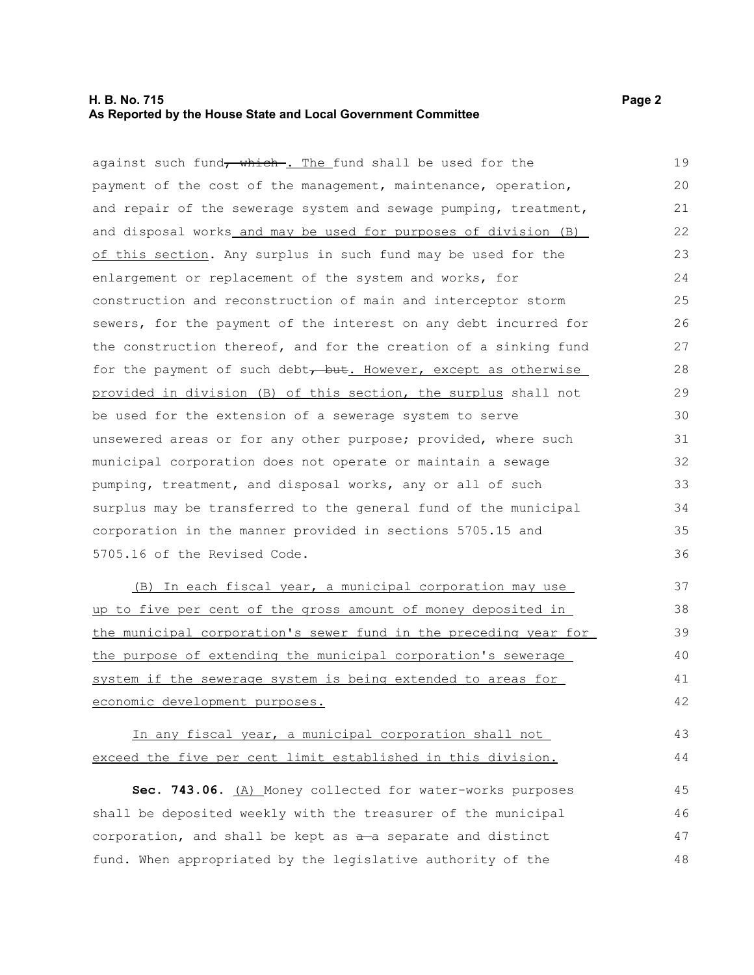#### **H. B. No. 715 Page 2 As Reported by the House State and Local Government Committee**

against such fund<del>, which . The fund shall be used for the</del> payment of the cost of the management, maintenance, operation, and repair of the sewerage system and sewage pumping, treatment, and disposal works and may be used for purposes of division (B) of this section. Any surplus in such fund may be used for the enlargement or replacement of the system and works, for construction and reconstruction of main and interceptor storm sewers, for the payment of the interest on any debt incurred for the construction thereof, and for the creation of a sinking fund for the payment of such debt, but. However, except as otherwise provided in division (B) of this section, the surplus shall not be used for the extension of a sewerage system to serve unsewered areas or for any other purpose; provided, where such municipal corporation does not operate or maintain a sewage pumping, treatment, and disposal works, any or all of such surplus may be transferred to the general fund of the municipal corporation in the manner provided in sections 5705.15 and 5705.16 of the Revised Code. (B) In each fiscal year, a municipal corporation may use up to five per cent of the gross amount of money deposited in 19 20 21 22 23 24 25 26 27 28 29 30 31 32 33 34 35 36 37 38

the municipal corporation's sewer fund in the preceding year for the purpose of extending the municipal corporation's sewerage system if the sewerage system is being extended to areas for economic development purposes. 39 40 41 42

#### In any fiscal year, a municipal corporation shall not exceed the five per cent limit established in this division. 43 44

**Sec. 743.06.** (A) Money collected for water-works purposes shall be deposited weekly with the treasurer of the municipal corporation, and shall be kept as  $a - a$  separate and distinct fund. When appropriated by the legislative authority of the 45 46 47 48